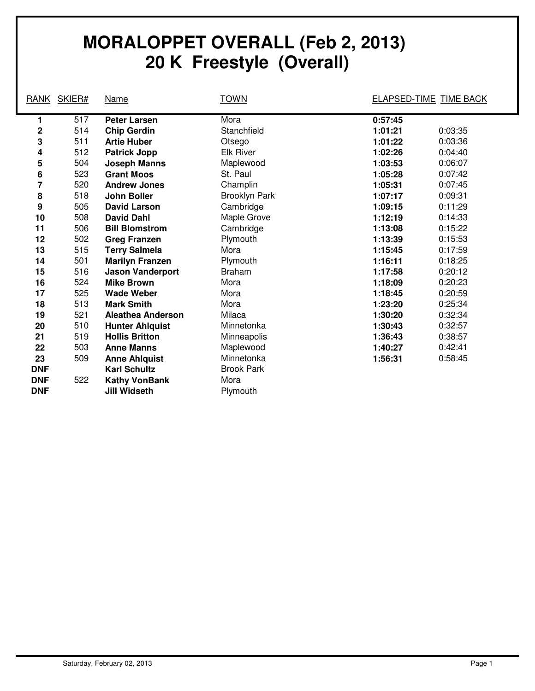## **MORALOPPET OVERALL (Feb 2, 2013) 20 K Freestyle (Overall)**

| RANK       | SKIER# | Name                     | <b>TOWN</b>          |         | <b>ELAPSED-TIME TIME BACK</b> |
|------------|--------|--------------------------|----------------------|---------|-------------------------------|
|            |        |                          |                      |         |                               |
| 1          | 517    | <b>Peter Larsen</b>      | Mora                 | 0:57:45 |                               |
| 2          | 514    | <b>Chip Gerdin</b>       | Stanchfield          | 1:01:21 | 0:03:35                       |
| 3          | 511    | <b>Artie Huber</b>       | Otsego               | 1:01:22 | 0:03:36                       |
| 4          | 512    | <b>Patrick Jopp</b>      | <b>Elk River</b>     | 1:02:26 | 0:04:40                       |
| 5          | 504    | <b>Joseph Manns</b>      | Maplewood            | 1:03:53 | 0:06:07                       |
| 6          | 523    | <b>Grant Moos</b>        | St. Paul             | 1:05:28 | 0:07:42                       |
| 7          | 520    | <b>Andrew Jones</b>      | Champlin             | 1:05:31 | 0:07:45                       |
| 8          | 518    | <b>John Boller</b>       | <b>Brooklyn Park</b> | 1:07:17 | 0:09:31                       |
| 9          | 505    | <b>David Larson</b>      | Cambridge            | 1:09:15 | 0:11:29                       |
| 10         | 508    | <b>David Dahl</b>        | Maple Grove          | 1:12:19 | 0:14:33                       |
| 11         | 506    | <b>Bill Blomstrom</b>    | Cambridge            | 1:13:08 | 0:15:22                       |
| 12         | 502    | <b>Greg Franzen</b>      | Plymouth             | 1:13:39 | 0:15:53                       |
| 13         | 515    | <b>Terry Salmela</b>     | Mora                 | 1:15:45 | 0:17:59                       |
| 14         | 501    | <b>Marilyn Franzen</b>   | Plymouth             | 1:16:11 | 0:18:25                       |
| 15         | 516    | <b>Jason Vanderport</b>  | <b>Braham</b>        | 1:17:58 | 0:20:12                       |
| 16         | 524    | <b>Mike Brown</b>        | Mora                 | 1:18:09 | 0:20:23                       |
| 17         | 525    | <b>Wade Weber</b>        | Mora                 | 1:18:45 | 0:20:59                       |
| 18         | 513    | <b>Mark Smith</b>        | Mora                 | 1:23:20 | 0:25:34                       |
| 19         | 521    | <b>Aleathea Anderson</b> | Milaca               | 1:30:20 | 0:32:34                       |
| 20         | 510    | <b>Hunter Ahlquist</b>   | Minnetonka           | 1:30:43 | 0:32:57                       |
| 21         | 519    | <b>Hollis Britton</b>    | Minneapolis          | 1:36:43 | 0:38:57                       |
| 22         | 503    | <b>Anne Manns</b>        | Maplewood            | 1:40:27 | 0:42:41                       |
| 23         | 509    | <b>Anne Ahlquist</b>     | Minnetonka           | 1:56:31 | 0:58:45                       |
| <b>DNF</b> |        | <b>Karl Schultz</b>      | <b>Brook Park</b>    |         |                               |
| <b>DNF</b> | 522    | <b>Kathy VonBank</b>     | Mora                 |         |                               |
| <b>DNF</b> |        | Jill Widseth             | Plymouth             |         |                               |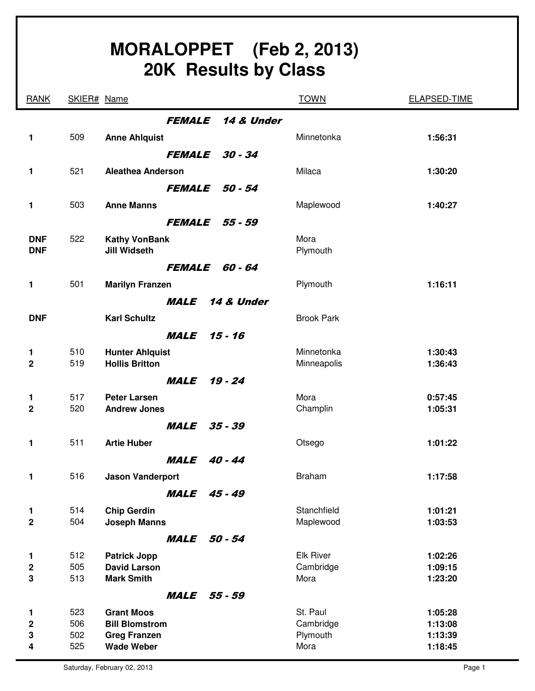| MORALOPPET (Feb 2, 2013)<br><b>20K Results by Class</b> |            |                                             |                   |                    |  |
|---------------------------------------------------------|------------|---------------------------------------------|-------------------|--------------------|--|
| <b>RANK</b>                                             |            | SKIER# Name                                 | <b>TOWN</b>       | ELAPSED-TIME       |  |
|                                                         |            | <b>FEMALE</b><br>14 & Under                 |                   |                    |  |
| 1                                                       | 509        | <b>Anne Ahlquist</b>                        | Minnetonka        | 1:56:31            |  |
|                                                         |            | $30 - 34$<br><b>FEMALE</b>                  |                   |                    |  |
| 1                                                       | 521        | <b>Aleathea Anderson</b>                    | Milaca            | 1:30:20            |  |
|                                                         |            | 50 - 54<br><b>FEMALE</b>                    |                   |                    |  |
| 1                                                       | 503        | <b>Anne Manns</b>                           | Maplewood         | 1:40:27            |  |
|                                                         |            | <b>FEMALE</b><br>55 - 59                    |                   |                    |  |
| <b>DNF</b><br><b>DNF</b>                                | 522        | <b>Kathy VonBank</b><br><b>Jill Widseth</b> | Mora<br>Plymouth  |                    |  |
|                                                         |            | 60 - 64<br><b>FEMALE</b>                    |                   |                    |  |
| 1                                                       | 501        | <b>Marilyn Franzen</b>                      | Plymouth          | 1:16:11            |  |
|                                                         |            | 14 & Under<br><i><b>MALE</b></i>            |                   |                    |  |
| <b>DNF</b>                                              |            | <b>Karl Schultz</b>                         | <b>Brook Park</b> |                    |  |
|                                                         |            | $15 - 16$<br><b>MALE</b>                    |                   |                    |  |
| 1                                                       | 510        | <b>Hunter Ahlquist</b>                      | Minnetonka        | 1:30:43            |  |
| $\mathbf{2}$                                            | 519        | <b>Hollis Britton</b>                       | Minneapolis       | 1:36:43            |  |
|                                                         |            | $19 - 24$<br><i><b>MALE</b></i>             |                   |                    |  |
| 1<br>$\mathbf{2}$                                       | 517<br>520 | <b>Peter Larsen</b><br><b>Andrew Jones</b>  | Mora<br>Champlin  | 0:57:45<br>1:05:31 |  |
|                                                         |            | <b>MALE</b> 35 - 39                         |                   |                    |  |
| 1                                                       | 511        | <b>Artie Huber</b>                          | Otsego            | 1:01:22            |  |
|                                                         |            | MALE<br>$40 - 44$                           |                   |                    |  |
| 1                                                       | 516        | <b>Jason Vanderport</b>                     | <b>Braham</b>     | 1:17:58            |  |
|                                                         |            | <i><b>MALE</b></i><br>45 - 49               |                   |                    |  |
| 1                                                       | 514        | <b>Chip Gerdin</b>                          | Stanchfield       | 1:01:21            |  |
| $\overline{2}$                                          | 504        | <b>Joseph Manns</b>                         | Maplewood         | 1:03:53            |  |
|                                                         |            | MALE<br>50 - 54                             |                   |                    |  |
| 1                                                       | 512        | <b>Patrick Jopp</b>                         | <b>Elk River</b>  | 1:02:26            |  |
| $\mathbf 2$<br>3                                        | 505<br>513 | <b>David Larson</b><br><b>Mark Smith</b>    | Cambridge<br>Mora | 1:09:15<br>1:23:20 |  |
|                                                         |            | <b>MALE</b> 55 - 59                         |                   |                    |  |
| 1                                                       | 523        | <b>Grant Moos</b>                           | St. Paul          | 1:05:28            |  |
| $\mathbf 2$                                             | 506        | <b>Bill Blomstrom</b>                       | Cambridge         | 1:13:08            |  |
| 3<br>4                                                  | 502<br>525 | <b>Greg Franzen</b><br><b>Wade Weber</b>    | Plymouth<br>Mora  | 1:13:39<br>1:18:45 |  |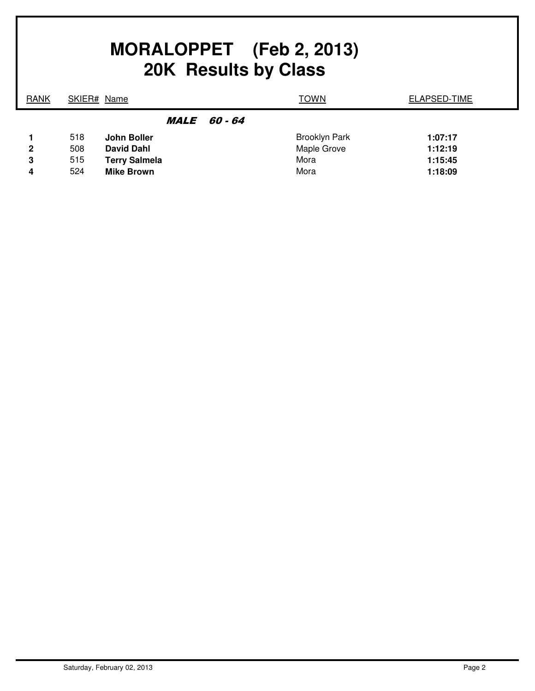| MORALOPPET (Feb 2, 2013)<br>20K Results by Class |     |                      |                   |                      |                     |
|--------------------------------------------------|-----|----------------------|-------------------|----------------------|---------------------|
| <b>RANK</b>                                      |     | SKIER# Name          |                   | <b>TOWN</b>          | <b>ELAPSED-TIME</b> |
|                                                  |     |                      | <i>MALE 60-64</i> |                      |                     |
|                                                  | 518 | John Boller          |                   | <b>Brooklyn Park</b> | 1:07:17             |
| $\mathbf{2}$                                     | 508 | <b>David Dahl</b>    |                   | Maple Grove          | 1:12:19             |
| 3                                                | 515 | <b>Terry Salmela</b> |                   | Mora                 | 1:15:45             |
| 4                                                | 524 | <b>Mike Brown</b>    |                   | Mora                 | 1:18:09             |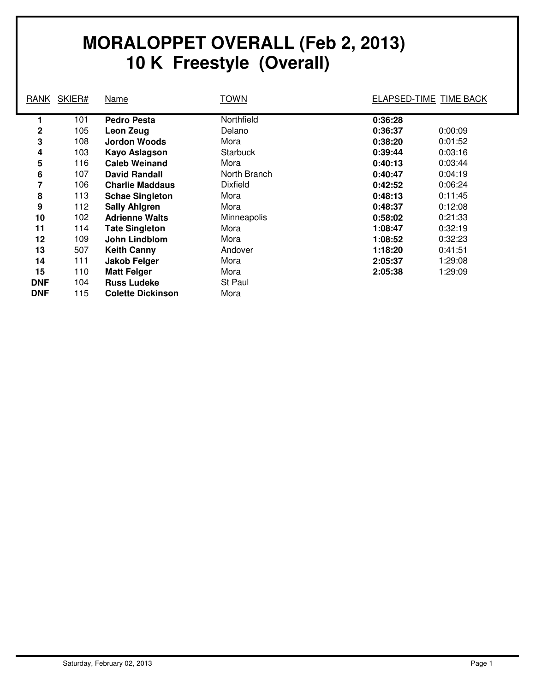## **MORALOPPET OVERALL (Feb 2, 2013) 10 K Freestyle (Overall)**

| <b>RANK</b> | SKIER# | Name                     | <b>TOWN</b>     |         | ELAPSED-TIME TIME BACK |
|-------------|--------|--------------------------|-----------------|---------|------------------------|
|             | 101    | <b>Pedro Pesta</b>       | Northfield      | 0:36:28 |                        |
| $\mathbf 2$ | 105    | Leon Zeug                | Delano          | 0:36:37 | 0:00:09                |
| 3           | 108    | Jordon Woods             | Mora            | 0:38:20 | 0:01:52                |
| 4           | 103    | <b>Kayo Aslagson</b>     | <b>Starbuck</b> | 0:39:44 | 0:03:16                |
| 5           | 116    | <b>Caleb Weinand</b>     | Mora            | 0:40:13 | 0:03:44                |
| 6           | 107    | <b>David Randall</b>     | North Branch    | 0:40:47 | 0:04:19                |
| 7           | 106    | <b>Charlie Maddaus</b>   | <b>Dixfield</b> | 0:42:52 | 0:06:24                |
| 8           | 113    | <b>Schae Singleton</b>   | Mora            | 0:48:13 | 0:11:45                |
| 9           | 112    | <b>Sally Ahlgren</b>     | Mora            | 0:48:37 | 0:12:08                |
| 10          | 102    | <b>Adrienne Walts</b>    | Minneapolis     | 0:58:02 | 0:21:33                |
| 11          | 114    | <b>Tate Singleton</b>    | Mora            | 1:08:47 | 0:32:19                |
| 12          | 109    | John Lindblom            | Mora            | 1:08:52 | 0:32:23                |
| 13          | 507    | <b>Keith Canny</b>       | Andover         | 1:18:20 | 0:41:51                |
| 14          | 111    | Jakob Felger             | Mora            | 2:05:37 | 1:29:08                |
| 15          | 110    | <b>Matt Felger</b>       | Mora            | 2:05:38 | 1:29:09                |
| <b>DNF</b>  | 104    | <b>Russ Ludeke</b>       | St Paul         |         |                        |
| <b>DNF</b>  | 115    | <b>Colette Dickinson</b> | Mora            |         |                        |